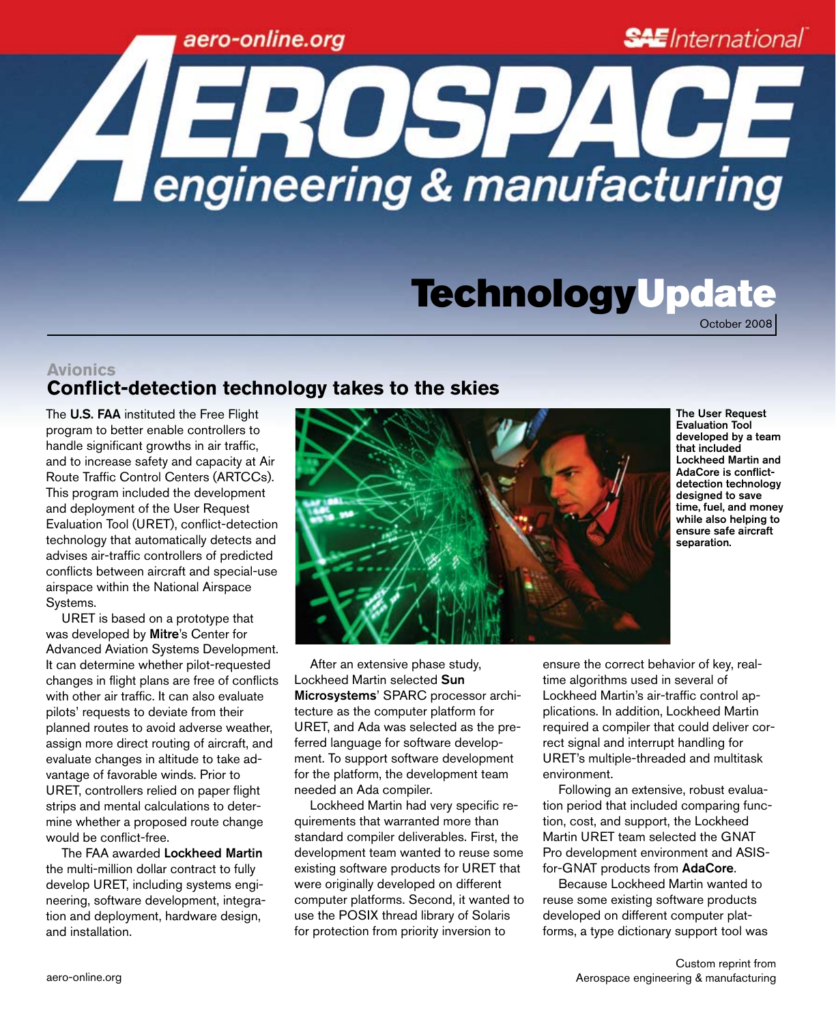## aero-online.org

**SAE** International

# TechnologyUpdate

October 2008

## **Avionics Conflict-detection technology takes to the skies**

The U.S. FAA instituted the Free Flight program to better enable controllers to handle significant growths in air traffic, and to increase safety and capacity at Air Route Traffic Control Centers (ARTCCs). This program included the development and deployment of the User Request Evaluation Tool (URET), conflict-detection technology that automatically detects and advises air-traffic controllers of predicted conflicts between aircraft and special-use airspace within the National Airspace Systems.

URET is based on a prototype that was developed by Mitre's Center for Advanced Aviation Systems Development. It can determine whether pilot-requested changes in flight plans are free of conflicts with other air traffic. It can also evaluate pilots' requests to deviate from their planned routes to avoid adverse weather, assign more direct routing of aircraft, and evaluate changes in altitude to take advantage of favorable winds. Prior to URET, controllers relied on paper flight strips and mental calculations to determine whether a proposed route change would be conflict-free.

The FAA awarded Lockheed Martin the multi-million dollar contract to fully develop URET, including systems engineering, software development, integration and deployment, hardware design, and installation.



The User Request Evaluation Tool developed by a team that included Lockheed Martin and AdaCore is conflictdetection technology designed to save time, fuel, and money while also helping to ensure safe aircraft separation.

After an extensive phase study, Lockheed Martin selected Sun Microsystems' SPARC processor architecture as the computer platform for URET, and Ada was selected as the preferred language for software development. To support software development for the platform, the development team needed an Ada compiler.

**A EROSPACE** 

Lockheed Martin had very specific requirements that warranted more than standard compiler deliverables. First, the development team wanted to reuse some existing software products for URET that were originally developed on different computer platforms. Second, it wanted to use the POSIX thread library of Solaris for protection from priority inversion to

ensure the correct behavior of key, realtime algorithms used in several of Lockheed Martin's air-traffic control applications. In addition, Lockheed Martin required a compiler that could deliver correct signal and interrupt handling for URET's multiple-threaded and multitask environment.

Following an extensive, robust evaluation period that included comparing function, cost, and support, the Lockheed Martin URET team selected the GNAT Pro development environment and ASISfor-GNAT products from AdaCore.

Because Lockheed Martin wanted to reuse some existing software products developed on different computer platforms, a type dictionary support tool was